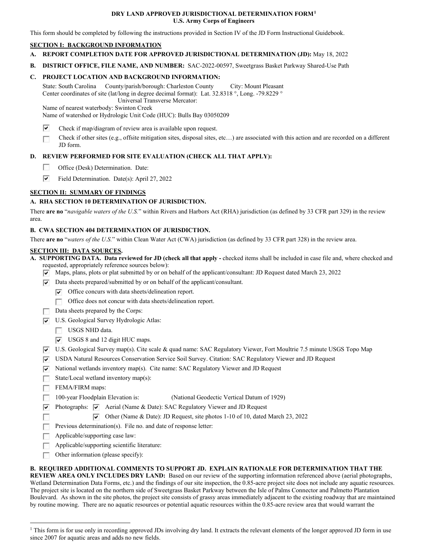### **DRY LAND APPROVED JURISDICTIONAL DETERMINATION FORM[1](#page-0-0)  U.S. Army Corps of Engineers**

This form should be completed by following the instructions provided in Section IV of the JD Form Instructional Guidebook.

## **SECTION I: BACKGROUND INFORMATION**

- **A. REPORT COMPLETION DATE FOR APPROVED JURISDICTIONAL DETERMINATION (JD):** May 18, 2022
- **B. DISTRICT OFFICE, FILE NAME, AND NUMBER:** SAC-2022-00597, Sweetgrass Basket Parkway Shared-Use Path

## **C. PROJECT LOCATION AND BACKGROUND INFORMATION:**

 State: South Carolina County/parish/borough: Charleston County City: Mount Pleasant Center coordinates of site (lat/long in degree decimal format): Lat. 32.8318 °, Long. -79.8229 °

Universal Transverse Mercator: Name of nearest waterbody: Swinton Creek

Name of watershed or Hydrologic Unit Code (HUC): Bulls Bay 03050209

- $\overline{\mathbf{v}}$ Check if map/diagram of review area is available upon request.
- □ Check if other sites (e.g., offsite mitigation sites, disposal sites, etc…) are associated with this action and are recorded on a different JD form.

## **D. REVIEW PERFORMED FOR SITE EVALUATION (CHECK ALL THAT APPLY):**

- $\Box$ Office (Desk) Determination. Date:
- ⊽ Field Determination. Date(s): April 27, 2022

# **SECTION II: SUMMARY OF FINDINGS**

# **A. RHA SECTION 10 DETERMINATION OF JURISDICTION.**

 There **are no** "*navigable waters of the U.S.*" within Rivers and Harbors Act (RHA) jurisdiction (as defined by 33 CFR part 329) in the review area.

## **B. CWA SECTION 404 DETERMINATION OF JURISDICTION.**

There **are no** "*waters of the U.S.*" within Clean Water Act (CWA) jurisdiction (as defined by 33 CFR part 328) in the review area.

#### **SECTION III: DATA SOURCES.**

 requested, appropriately reference sources below): **A. SUPPORTING DATA. Data reviewed for JD (check all that apply -** checked items shall be included in case file and, where checked and

- $\nabla$  Maps, plans, plots or plat submitted by or on behalf of the applicant/consultant: JD Request dated March 23, 2022
- **Plumary Data sheets prepared/submitted by or on behalf of the applicant/consultant.** 
	- $\triangledown$  Office concurs with data sheets/delineation report.
	- □ Office does not concur with data sheets/delineation report.
- Data sheets prepared by the Corps:
- **Pl**  U.S. Geological Survey Hydrologic Atlas:
	- □ USGS NHD data.
	- **P** USGS 8 and 12 digit HUC maps.
- **Pl**  U.S. Geological Survey map(s). Cite scale & quad name: SAC Regulatory Viewer, Fort Moultrie 7.5 minute USGS Topo Map
- **Pl**  USDA Natural Resources Conservation Service Soil Survey. Citation: SAC Regulatory Viewer and JD Request
- $\nabla$  National wetlands inventory map(s). Cite name: SAC Regulatory Viewer and JD Request
- □ State/Local wetland inventory map(s):
- $\Box$  FEMA/FIRM maps:
- □ □ (National Geodectic Vertical Datum of 1929)
- **Photographs:**  $\boxed{\bullet}$  Aerial (Name & Date): SAC Regulatory Viewer and JD Request
	- $\triangledown$  Other (Name & Date): JD Request, site photos 1-10 of 10, dated March 23, 2022
- □ **Pl**  □ Previous determination(s). File no. and date of response letter:
- □ Applicable/supporting case law:
- □ Applicable/supporting scientific literature:
- □ Other information (please specify):

#### **B. REQUIRED ADDITIONAL COMMENTS TO SUPPORT JD. EXPLAIN RATIONALE FOR DETERMINATION THAT THE**

 **REVIEW AREA ONLY INCLUDES DRY LAND:** Based on our review of the supporting information referenced above (aerial photographs, Wetland Determination Data Forms, etc.) and the findings of our site inspection, the 0.85-acre project site does not include any aquatic resources. The project site is located on the northern side of Sweetgrass Basket Parkway between the Isle of Palms Connector and Palmetto Plantation Boulevard. As shown in the site photos, the project site consists of grassy areas immediately adjacent to the existing roadway that are maintained by routine mowing. There are no aquatic resources or potential aquatic resources within the 0.85-acre review area that would warrant the

<span id="page-0-0"></span><sup>&</sup>lt;sup>1</sup> This form is for use only in recording approved JDs involving dry land. It extracts the relevant elements of the longer approved JD form in use since 2007 for aquatic areas and adds no new fields.